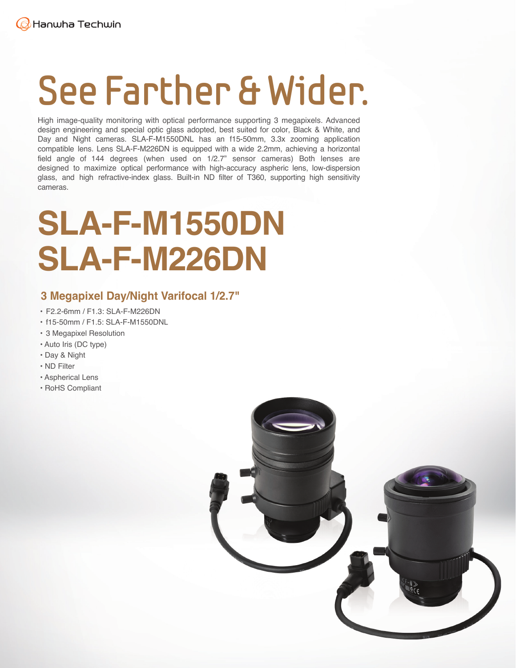# **See Farther & Wider.**

High image-quality monitoring with optical performance supporting 3 megapixels. Advanced design engineering and special optic glass adopted, best suited for color, Black & White, and Day and Night cameras. SLA-F-M1550DNL has an f15-50mm, 3.3x zooming application compatible lens. Lens SLA-F-M226DN is equipped with a wide 2.2mm, achieving a horizontal field angle of 144 degrees (when used on 1/2.7" sensor cameras) Both lenses are designed to maximize optical performance with high-accuracy aspheric lens, low-dispersion glass, and high refractive-index glass. Built-in ND filter of T360, supporting high sensitivity cameras.

## **SLA-F-M1550DN SLA-F-M226DN**

#### **3 Megapixel Day/Night Varifocal 1/2.7"**

- F2.2-6mm / F1.3: SLA-F-M226DN
- f15-50mm / F1.5: SLA-F-M1550DNL
- 3 Megapixel Resolution
- Auto Iris (DC type)
- Day & Night
- ND Filter
- Aspherical Lens
- RoHS Compliant